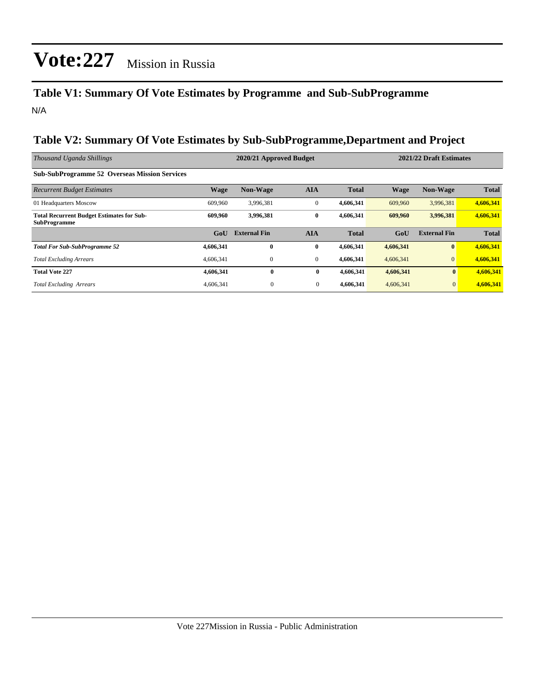### **Table V1: Summary Of Vote Estimates by Programme and Sub-SubProgramme** N/A

### **Table V2: Summary Of Vote Estimates by Sub-SubProgramme,Department and Project**

| Thousand Uganda Shillings                                               |             | 2020/21 Approved Budget |                  |              | 2021/22 Draft Estimates |                     |              |
|-------------------------------------------------------------------------|-------------|-------------------------|------------------|--------------|-------------------------|---------------------|--------------|
| <b>Sub-SubProgramme 52 Overseas Mission Services</b>                    |             |                         |                  |              |                         |                     |              |
| <b>Recurrent Budget Estimates</b>                                       | <b>Wage</b> | <b>Non-Wage</b>         | <b>AIA</b>       | <b>Total</b> | <b>Wage</b>             | <b>Non-Wage</b>     | <b>Total</b> |
| 01 Headquarters Moscow                                                  | 609,960     | 3,996,381               | $\mathbf{0}$     | 4,606,341    | 609,960                 | 3,996,381           | 4,606,341    |
| <b>Total Recurrent Budget Estimates for Sub-</b><br><b>SubProgramme</b> | 609.960     | 3,996,381               | $\bf{0}$         | 4,606,341    | 609,960                 | 3,996,381           | 4,606,341    |
|                                                                         | GoU         | <b>External Fin</b>     | <b>AIA</b>       | <b>Total</b> | GoU                     | <b>External Fin</b> | <b>Total</b> |
| <b>Total For Sub-SubProgramme 52</b>                                    | 4,606,341   | $\mathbf{0}$            | $\bf{0}$         | 4,606,341    | 4,606,341               | $\mathbf{0}$        | 4,606,341    |
| <b>Total Excluding Arrears</b>                                          | 4,606,341   | $\mathbf{0}$            | $\mathbf{0}$     | 4,606,341    | 4,606,341               | $\Omega$            | 4,606,341    |
| <b>Total Vote 227</b>                                                   | 4,606,341   | $\bf{0}$                | $\bf{0}$         | 4,606,341    | 4,606,341               | $\bf{0}$            | 4,606,341    |
| <b>Total Excluding Arrears</b>                                          | 4,606,341   | $\boldsymbol{0}$        | $\boldsymbol{0}$ | 4,606,341    | 4,606,341               | $\mathbf{0}$        | 4,606,341    |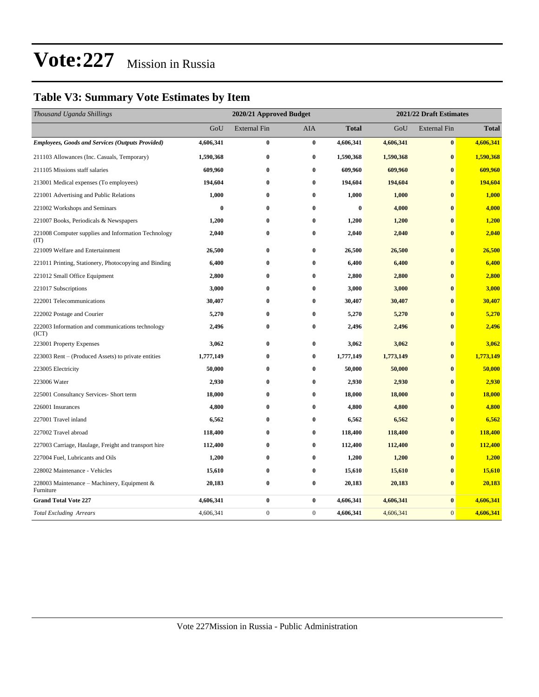### **Table V3: Summary Vote Estimates by Item**

| Thousand Uganda Shillings                                   | 2020/21 Approved Budget |                     |              |              | 2021/22 Draft Estimates |                     |              |  |
|-------------------------------------------------------------|-------------------------|---------------------|--------------|--------------|-------------------------|---------------------|--------------|--|
|                                                             | GoU                     | <b>External Fin</b> | AIA          | <b>Total</b> | GoU                     | <b>External Fin</b> | <b>Total</b> |  |
| <b>Employees, Goods and Services (Outputs Provided)</b>     | 4,606,341               | $\bf{0}$            | $\bf{0}$     | 4,606,341    | 4,606,341               | $\bf{0}$            | 4,606,341    |  |
| 211103 Allowances (Inc. Casuals, Temporary)                 | 1,590,368               | $\bf{0}$            | $\bf{0}$     | 1,590,368    | 1,590,368               | $\bf{0}$            | 1,590,368    |  |
| 211105 Missions staff salaries                              | 609,960                 | $\bf{0}$            | $\bf{0}$     | 609,960      | 609,960                 | $\mathbf{0}$        | 609,960      |  |
| 213001 Medical expenses (To employees)                      | 194,604                 | $\bf{0}$            | $\bf{0}$     | 194,604      | 194,604                 | $\bf{0}$            | 194,604      |  |
| 221001 Advertising and Public Relations                     | 1,000                   | $\bf{0}$            | $\bf{0}$     | 1,000        | 1,000                   | $\bf{0}$            | 1,000        |  |
| 221002 Workshops and Seminars                               | $\bf{0}$                | $\bf{0}$            | $\bf{0}$     | $\bf{0}$     | 4,000                   | $\bf{0}$            | 4,000        |  |
| 221007 Books, Periodicals & Newspapers                      | 1,200                   | $\bf{0}$            | $\bf{0}$     | 1,200        | 1,200                   | $\bf{0}$            | 1,200        |  |
| 221008 Computer supplies and Information Technology<br>(TT) | 2,040                   | $\bf{0}$            | $\bf{0}$     | 2,040        | 2,040                   | $\bf{0}$            | 2,040        |  |
| 221009 Welfare and Entertainment                            | 26,500                  | $\bf{0}$            | $\bf{0}$     | 26,500       | 26,500                  | $\bf{0}$            | 26,500       |  |
| 221011 Printing, Stationery, Photocopying and Binding       | 6,400                   | $\bf{0}$            | $\bf{0}$     | 6,400        | 6,400                   | $\bf{0}$            | 6,400        |  |
| 221012 Small Office Equipment                               | 2,800                   | $\bf{0}$            | $\bf{0}$     | 2,800        | 2,800                   | $\bf{0}$            | 2,800        |  |
| 221017 Subscriptions                                        | 3,000                   | $\bf{0}$            | $\bf{0}$     | 3,000        | 3,000                   | $\bf{0}$            | 3,000        |  |
| 222001 Telecommunications                                   | 30,407                  | $\bf{0}$            | $\bf{0}$     | 30,407       | 30,407                  | $\bf{0}$            | 30,407       |  |
| 222002 Postage and Courier                                  | 5,270                   | $\bf{0}$            | $\bf{0}$     | 5,270        | 5,270                   | $\bf{0}$            | 5,270        |  |
| 222003 Information and communications technology<br>(ICT)   | 2,496                   | $\bf{0}$            | $\bf{0}$     | 2,496        | 2,496                   | $\bf{0}$            | 2,496        |  |
| 223001 Property Expenses                                    | 3,062                   | $\bf{0}$            | $\bf{0}$     | 3,062        | 3,062                   | $\bf{0}$            | 3,062        |  |
| 223003 Rent – (Produced Assets) to private entities         | 1,777,149               | $\bf{0}$            | $\bf{0}$     | 1,777,149    | 1,773,149               | $\bf{0}$            | 1,773,149    |  |
| 223005 Electricity                                          | 50,000                  | $\bf{0}$            | $\bf{0}$     | 50,000       | 50,000                  | $\bf{0}$            | 50,000       |  |
| 223006 Water                                                | 2,930                   | $\bf{0}$            | $\bf{0}$     | 2,930        | 2,930                   | $\bf{0}$            | 2,930        |  |
| 225001 Consultancy Services- Short term                     | 18,000                  | $\bf{0}$            | $\bf{0}$     | 18,000       | 18,000                  | $\bf{0}$            | 18,000       |  |
| 226001 Insurances                                           | 4,800                   | $\bf{0}$            | $\bf{0}$     | 4,800        | 4,800                   | $\bf{0}$            | 4,800        |  |
| 227001 Travel inland                                        | 6,562                   | $\bf{0}$            | $\bf{0}$     | 6,562        | 6,562                   | $\bf{0}$            | 6,562        |  |
| 227002 Travel abroad                                        | 118,400                 | $\bf{0}$            | $\bf{0}$     | 118,400      | 118,400                 | $\bf{0}$            | 118,400      |  |
| 227003 Carriage, Haulage, Freight and transport hire        | 112,400                 | $\bf{0}$            | $\bf{0}$     | 112,400      | 112,400                 | $\bf{0}$            | 112,400      |  |
| 227004 Fuel, Lubricants and Oils                            | 1,200                   | $\bf{0}$            | $\bf{0}$     | 1,200        | 1,200                   | $\bf{0}$            | 1,200        |  |
| 228002 Maintenance - Vehicles                               | 15,610                  | $\bf{0}$            | $\bf{0}$     | 15,610       | 15,610                  | $\bf{0}$            | 15,610       |  |
| 228003 Maintenance – Machinery, Equipment $\&$<br>Furniture | 20,183                  | $\bf{0}$            | $\bf{0}$     | 20,183       | 20,183                  | $\bf{0}$            | 20,183       |  |
| <b>Grand Total Vote 227</b>                                 | 4,606,341               | $\bf{0}$            | $\bf{0}$     | 4,606,341    | 4,606,341               | $\bf{0}$            | 4,606,341    |  |
| <b>Total Excluding Arrears</b>                              | 4,606,341               | $\boldsymbol{0}$    | $\mathbf{0}$ | 4,606,341    | 4,606,341               | $\mathbf{0}$        | 4,606,341    |  |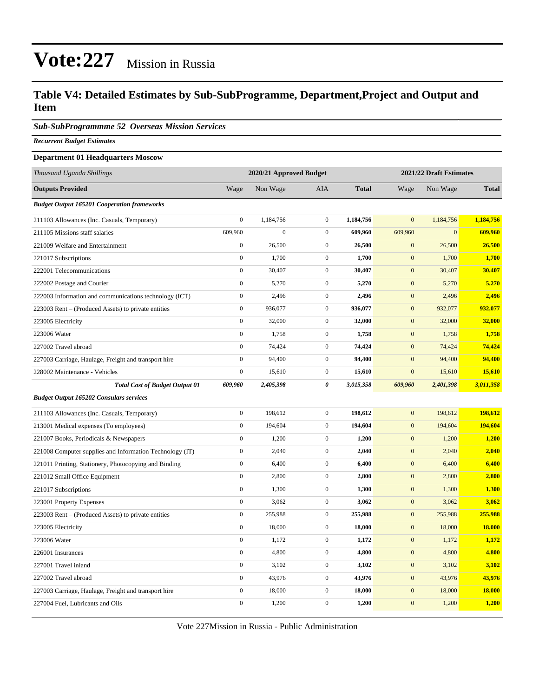### **Table V4: Detailed Estimates by Sub-SubProgramme, Department,Project and Output and Item**

*Sub-SubProgrammme 52 Overseas Mission Services*

*Recurrent Budget Estimates*

#### **Department 01 Headquarters Moscow**

| Thousand Uganda Shillings                                | 2020/21 Approved Budget |              |                  |              | 2021/22 Draft Estimates |                |              |
|----------------------------------------------------------|-------------------------|--------------|------------------|--------------|-------------------------|----------------|--------------|
| <b>Outputs Provided</b>                                  | Wage                    | Non Wage     | <b>AIA</b>       | <b>Total</b> | Wage                    | Non Wage       | <b>Total</b> |
| <b>Budget Output 165201 Cooperation frameworks</b>       |                         |              |                  |              |                         |                |              |
| 211103 Allowances (Inc. Casuals, Temporary)              | $\overline{0}$          | 1,184,756    | $\boldsymbol{0}$ | 1,184,756    | $\mathbf{0}$            | 1,184,756      | 1,184,756    |
| 211105 Missions staff salaries                           | 609,960                 | $\mathbf{0}$ | $\mathbf{0}$     | 609,960      | 609,960                 | $\overline{0}$ | 609,960      |
| 221009 Welfare and Entertainment                         | $\boldsymbol{0}$        | 26,500       | $\mathbf{0}$     | 26,500       | $\mathbf{0}$            | 26,500         | 26,500       |
| 221017 Subscriptions                                     | $\boldsymbol{0}$        | 1,700        | $\boldsymbol{0}$ | 1,700        | $\mathbf{0}$            | 1,700          | 1,700        |
| 222001 Telecommunications                                | $\boldsymbol{0}$        | 30,407       | $\boldsymbol{0}$ | 30,407       | $\mathbf{0}$            | 30,407         | 30,407       |
| 222002 Postage and Courier                               | $\boldsymbol{0}$        | 5,270        | $\boldsymbol{0}$ | 5,270        | $\boldsymbol{0}$        | 5,270          | 5,270        |
| 222003 Information and communications technology (ICT)   | $\boldsymbol{0}$        | 2,496        | $\boldsymbol{0}$ | 2,496        | $\boldsymbol{0}$        | 2,496          | 2,496        |
| 223003 Rent – (Produced Assets) to private entities      | $\boldsymbol{0}$        | 936,077      | $\mathbf{0}$     | 936,077      | $\mathbf{0}$            | 932,077        | 932,077      |
| 223005 Electricity                                       | $\boldsymbol{0}$        | 32,000       | $\boldsymbol{0}$ | 32,000       | $\boldsymbol{0}$        | 32,000         | 32,000       |
| 223006 Water                                             | $\boldsymbol{0}$        | 1,758        | $\mathbf 0$      | 1,758        | $\mathbf{0}$            | 1,758          | 1,758        |
| 227002 Travel abroad                                     | $\boldsymbol{0}$        | 74,424       | $\boldsymbol{0}$ | 74,424       | $\mathbf{0}$            | 74,424         | 74,424       |
| 227003 Carriage, Haulage, Freight and transport hire     | $\mathbf{0}$            | 94,400       | $\boldsymbol{0}$ | 94,400       | $\mathbf{0}$            | 94,400         | 94,400       |
| 228002 Maintenance - Vehicles                            | $\boldsymbol{0}$        | 15,610       | $\boldsymbol{0}$ | 15,610       | $\mathbf{0}$            | 15,610         | 15,610       |
| <b>Total Cost of Budget Output 01</b>                    | 609,960                 | 2,405,398    | 0                | 3,015,358    | 609,960                 | 2,401,398      | 3,011,358    |
| <b>Budget Output 165202 Consulars services</b>           |                         |              |                  |              |                         |                |              |
| 211103 Allowances (Inc. Casuals, Temporary)              | $\boldsymbol{0}$        | 198,612      | $\boldsymbol{0}$ | 198,612      | $\mathbf{0}$            | 198,612        | 198,612      |
| 213001 Medical expenses (To employees)                   | $\boldsymbol{0}$        | 194,604      | $\boldsymbol{0}$ | 194,604      | $\mathbf{0}$            | 194,604        | 194,604      |
| 221007 Books, Periodicals & Newspapers                   | $\boldsymbol{0}$        | 1,200        | $\boldsymbol{0}$ | 1,200        | $\mathbf{0}$            | 1,200          | 1,200        |
| 221008 Computer supplies and Information Technology (IT) | $\boldsymbol{0}$        | 2,040        | $\mathbf{0}$     | 2,040        | $\boldsymbol{0}$        | 2,040          | 2,040        |
| 221011 Printing, Stationery, Photocopying and Binding    | $\mathbf{0}$            | 6,400        | $\boldsymbol{0}$ | 6,400        | $\mathbf{0}$            | 6,400          | 6,400        |
| 221012 Small Office Equipment                            | $\boldsymbol{0}$        | 2,800        | $\mathbf{0}$     | 2,800        | $\boldsymbol{0}$        | 2,800          | 2,800        |
| 221017 Subscriptions                                     | $\mathbf{0}$            | 1,300        | $\mathbf{0}$     | 1,300        | $\boldsymbol{0}$        | 1,300          | 1,300        |
| 223001 Property Expenses                                 | $\boldsymbol{0}$        | 3,062        | $\mathbf{0}$     | 3,062        | $\mathbf{0}$            | 3,062          | 3,062        |
| 223003 Rent – (Produced Assets) to private entities      | $\boldsymbol{0}$        | 255,988      | $\boldsymbol{0}$ | 255,988      | $\boldsymbol{0}$        | 255,988        | 255,988      |
| 223005 Electricity                                       | $\mathbf{0}$            | 18,000       | $\boldsymbol{0}$ | 18,000       | $\mathbf{0}$            | 18,000         | 18,000       |
| 223006 Water                                             | $\mathbf{0}$            | 1,172        | $\boldsymbol{0}$ | 1,172        | $\boldsymbol{0}$        | 1,172          | 1,172        |
| 226001 Insurances                                        | $\overline{0}$          | 4,800        | $\boldsymbol{0}$ | 4,800        | $\boldsymbol{0}$        | 4,800          | 4,800        |
| 227001 Travel inland                                     | $\boldsymbol{0}$        | 3,102        | $\mathbf{0}$     | 3,102        | $\mathbf{0}$            | 3,102          | 3,102        |
| 227002 Travel abroad                                     | $\boldsymbol{0}$        | 43,976       | $\boldsymbol{0}$ | 43,976       | $\boldsymbol{0}$        | 43,976         | 43,976       |
| 227003 Carriage, Haulage, Freight and transport hire     | $\boldsymbol{0}$        | 18,000       | $\boldsymbol{0}$ | 18,000       | $\mathbf{0}$            | 18,000         | 18,000       |
| 227004 Fuel, Lubricants and Oils                         | $\boldsymbol{0}$        | 1,200        | $\boldsymbol{0}$ | 1,200        | $\mathbf{0}$            | 1,200          | 1,200        |

Vote 227Mission in Russia - Public Administration